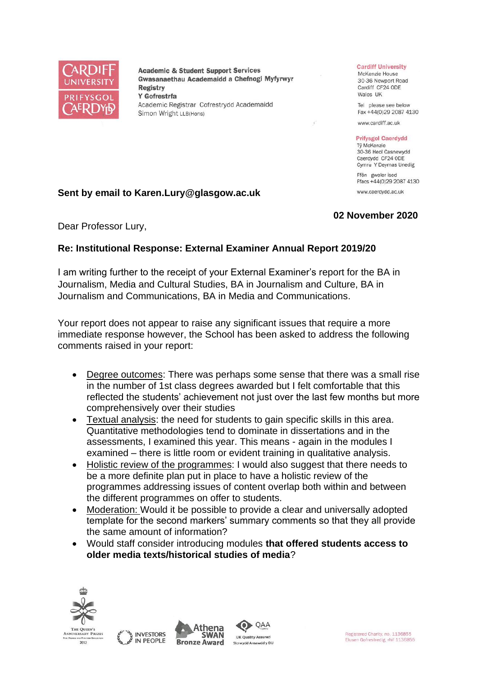

**Academic & Student Support Services** Gwasanaethau Academaidd a Chefnogi Myfyrwyr **Registry** Y Gofrestrfa Academic Registrar Cofrestrydd Academaidd Simon Wright LLB(Hons)

#### **Cardiff University**

McKenzie House 30-36 Newport Road Cardiff CF24 ODE Wales UK

Tel please see below Fax +44(0)29 2087 4130

www.cardiff.ac.uk

#### **Prifysgol Caerdydd**

Tỷ McKenzie 30-36 Heol Casnewydd Caerdydd CF24 ODE Cymru Y Deyrnas Unedig Ffôn gweler isod

Ffacs +44(0)29 2087 4130 www.caerdydd.ac.uk

## **Sent by email to Karen.Lury@glasgow.ac.uk**

## **02 November 2020**

Dear Professor Lury,

## **Re: Institutional Response: External Examiner Annual Report 2019/20**

I am writing further to the receipt of your External Examiner's report for the BA in Journalism, Media and Cultural Studies, BA in Journalism and Culture, BA in Journalism and Communications, BA in Media and Communications.

Your report does not appear to raise any significant issues that require a more immediate response however, the School has been asked to address the following comments raised in your report:

- Degree outcomes: There was perhaps some sense that there was a small rise in the number of 1st class degrees awarded but I felt comfortable that this reflected the students' achievement not just over the last few months but more comprehensively over their studies
- Textual analysis: the need for students to gain specific skills in this area. Quantitative methodologies tend to dominate in dissertations and in the assessments, I examined this year. This means - again in the modules I examined – there is little room or evident training in qualitative analysis.
- Holistic review of the programmes: I would also suggest that there needs to be a more definite plan put in place to have a holistic review of the programmes addressing issues of content overlap both within and between the different programmes on offer to students.
- Moderation: Would it be possible to provide a clear and universally adopted template for the second markers' summary comments so that they all provide the same amount of information?
- Would staff consider introducing modules **that offered students access to older media texts/historical studies of media**?







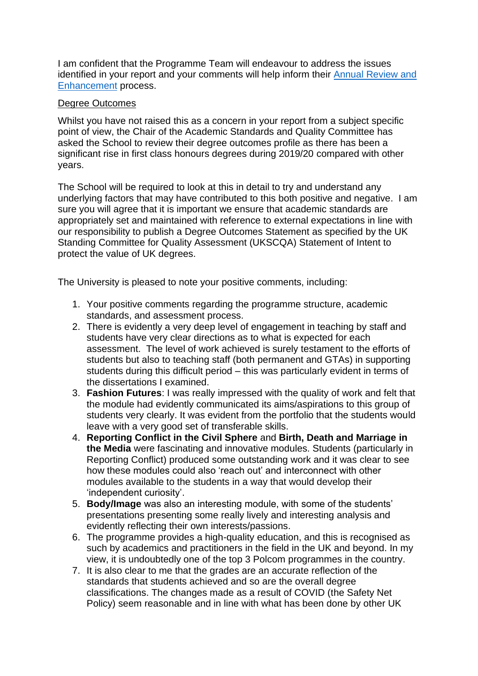I am confident that the Programme Team will endeavour to address the issues identified in your report and your comments will help inform their [Annual Review and](https://www.cardiff.ac.uk/public-information/quality-and-standards/monitoring-and-review/annual-review-and-enhancement)  [Enhancement](https://www.cardiff.ac.uk/public-information/quality-and-standards/monitoring-and-review/annual-review-and-enhancement) process.

# Degree Outcomes

Whilst you have not raised this as a concern in your report from a subject specific point of view, the Chair of the Academic Standards and Quality Committee has asked the School to review their degree outcomes profile as there has been a significant rise in first class honours degrees during 2019/20 compared with other years.

The School will be required to look at this in detail to try and understand any underlying factors that may have contributed to this both positive and negative. I am sure you will agree that it is important we ensure that academic standards are appropriately set and maintained with reference to external expectations in line with our responsibility to publish a Degree Outcomes Statement as specified by the UK Standing Committee for Quality Assessment (UKSCQA) Statement of Intent to protect the value of UK degrees.

The University is pleased to note your positive comments, including:

- 1. Your positive comments regarding the programme structure, academic standards, and assessment process.
- 2. There is evidently a very deep level of engagement in teaching by staff and students have very clear directions as to what is expected for each assessment. The level of work achieved is surely testament to the efforts of students but also to teaching staff (both permanent and GTAs) in supporting students during this difficult period – this was particularly evident in terms of the dissertations I examined.
- 3. **Fashion Futures**: I was really impressed with the quality of work and felt that the module had evidently communicated its aims/aspirations to this group of students very clearly. It was evident from the portfolio that the students would leave with a very good set of transferable skills.
- 4. **Reporting Conflict in the Civil Sphere** and **Birth, Death and Marriage in the Media** were fascinating and innovative modules. Students (particularly in Reporting Conflict) produced some outstanding work and it was clear to see how these modules could also 'reach out' and interconnect with other modules available to the students in a way that would develop their 'independent curiosity'.
- 5. **Body/Image** was also an interesting module, with some of the students' presentations presenting some really lively and interesting analysis and evidently reflecting their own interests/passions.
- 6. The programme provides a high-quality education, and this is recognised as such by academics and practitioners in the field in the UK and beyond. In my view, it is undoubtedly one of the top 3 Polcom programmes in the country.
- 7. It is also clear to me that the grades are an accurate reflection of the standards that students achieved and so are the overall degree classifications. The changes made as a result of COVID (the Safety Net Policy) seem reasonable and in line with what has been done by other UK